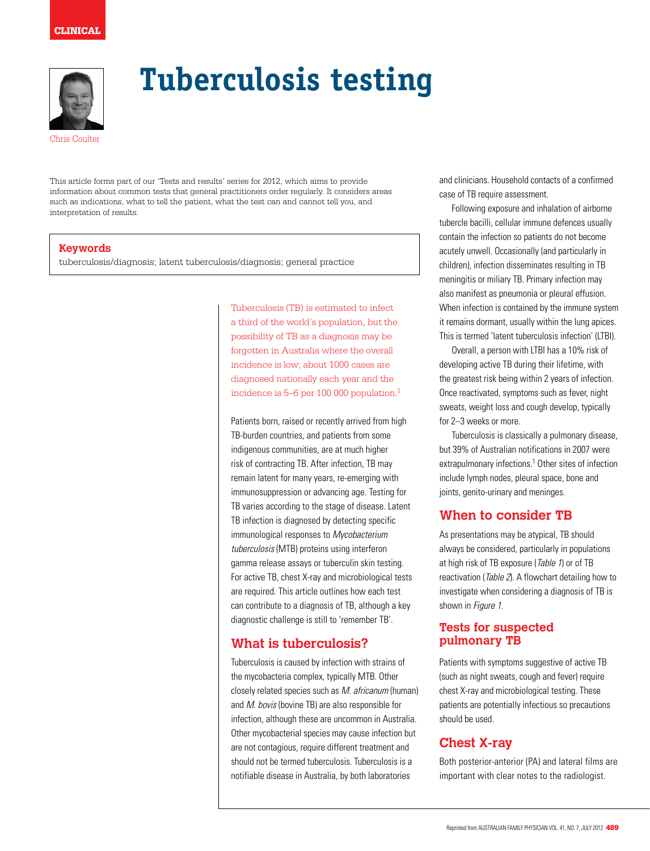# clinical



# **Tuberculosis testing**

Chris Coulter

This article forms part of our 'Tests and results' series for 2012, which aims to provide information about common tests that general practitioners order regularly. It considers areas such as indications, what to tell the patient, what the test can and cannot tell you, and interpretation of results.

## **Keywords**

tuberculosis/diagnosis; latent tuberculosis/diagnosis; general practice

Tuberculosis (TB) is estimated to infect a third of the world's population, but the possibility of TB as a diagnosis may be forgotten in Australia where the overall incidence is low; about 1000 cases are diagnosed nationally each year and the incidence is 5–6 per 100 000 population.1

Patients born, raised or recently arrived from high TB-burden countries, and patients from some indigenous communities, are at much higher risk of contracting TB. After infection, TB may remain latent for many years, re-emerging with immunosuppression or advancing age. Testing for TB varies according to the stage of disease. Latent TB infection is diagnosed by detecting specific immunological responses to Mycobacterium tuberculosis (MTB) proteins using interferon gamma release assays or tuberculin skin testing. For active TB, chest X-ray and microbiological tests are required. This article outlines how each test can contribute to a diagnosis of TB, although a key diagnostic challenge is still to 'remember TB'.

# **What is tuberculosis?**

Tuberculosis is caused by infection with strains of the mycobacteria complex, typically MTB. Other closely related species such as M. africanum (human) and M. bovis (bovine TB) are also responsible for infection, although these are uncommon in Australia. Other mycobacterial species may cause infection but are not contagious, require different treatment and should not be termed tuberculosis. Tuberculosis is a notifiable disease in Australia, by both laboratories

and clinicians. Household contacts of a confirmed case of TB require assessment.

Following exposure and inhalation of airborne tubercle bacilli, cellular immune defences usually contain the infection so patients do not become acutely unwell. Occasionally (and particularly in children), infection disseminates resulting in TB meningitis or miliary TB. Primary infection may also manifest as pneumonia or pleural effusion. When infection is contained by the immune system it remains dormant, usually within the lung apices. This is termed 'latent tuberculosis infection' (LTBI).

Overall, a person with LTBI has a 10% risk of developing active TB during their lifetime, with the greatest risk being within 2 years of infection. Once reactivated, symptoms such as fever, night sweats, weight loss and cough develop, typically for 2–3 weeks or more.

Tuberculosis is classically a pulmonary disease, but 39% of Australian notifications in 2007 were extrapulmonary infections.<sup>1</sup> Other sites of infection include lymph nodes, pleural space, bone and joints, genito-urinary and meninges.

# **When to consider TB**

As presentations may be atypical, TB should always be considered, particularly in populations at high risk of TB exposure (Table 1) or of TB reactivation (Table 2). A flowchart detailing how to investigate when considering a diagnosis of TB is shown in Figure 1.

## **Tests for suspected pulmonary TB**

Patients with symptoms suggestive of active TB (such as night sweats, cough and fever) require chest X-ray and microbiological testing. These patients are potentially infectious so precautions should be used.

# **Chest X-ray**

Both posterior-anterior (PA) and lateral films are important with clear notes to the radiologist.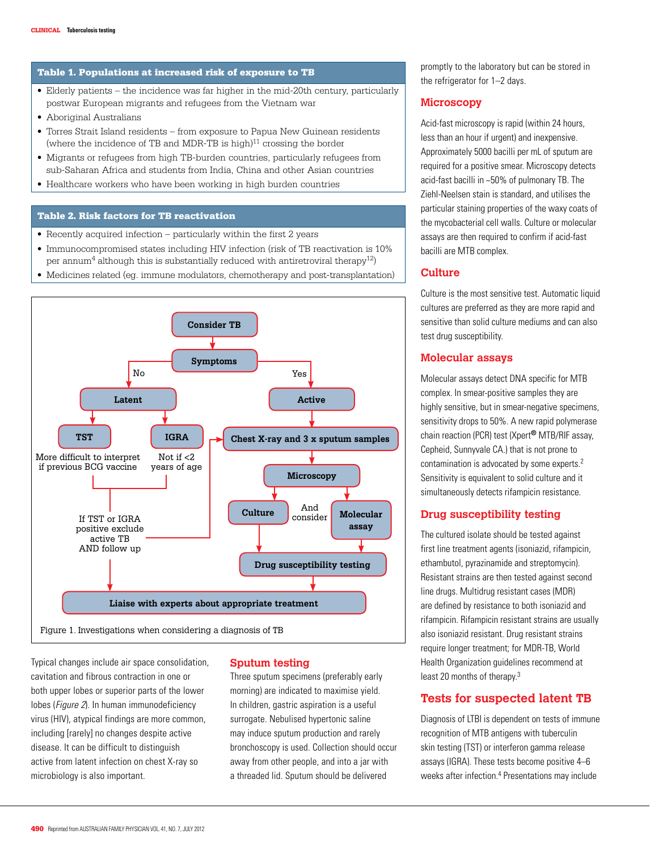#### Table 1. Populations at increased risk of exposure to TB

- • Elderly patients the incidence was far higher in the mid-20th century, particularly postwar European migrants and refugees from the Vietnam war
- • Aboriginal Australians
- Torres Strait Island residents from exposure to Papua New Guinean residents (where the incidence of TB and MDR-TB is high) $11$  crossing the border
- • Migrants or refugees from high TB-burden countries, particularly refugees from sub-Saharan Africa and students from India, China and other Asian countries
- Healthcare workers who have been working in high burden countries

#### Table 2. Risk factors for TB reactivation

- $\bullet$  Recently acquired infection particularly within the first 2 years
- • Immunocompromised states including HIV infection (risk of TB reactivation is 10% per annum<sup>4</sup> although this is substantially reduced with antiretroviral therapy<sup>12</sup>)
- • Medicines related (eg. immune modulators, chemotherapy and post-transplantation)



Typical changes include air space consolidation, cavitation and fibrous contraction in one or both upper lobes or superior parts of the lower lobes (Figure 2). In human immunodeficiency virus (HIV), atypical findings are more common, including [rarely] no changes despite active disease. It can be difficult to distinguish active from latent infection on chest X-ray so microbiology is also important.

#### **Sputum testing**

Three sputum specimens (preferably early morning) are indicated to maximise yield. In children, gastric aspiration is a useful surrogate. Nebulised hypertonic saline may induce sputum production and rarely bronchoscopy is used. Collection should occur away from other people, and into a jar with a threaded lid. Sputum should be delivered

promptly to the laboratory but can be stored in the refrigerator for 1–2 days.

#### **Microscopy**

Acid-fast microscopy is rapid (within 24 hours, less than an hour if urgent) and inexpensive. Approximately 5000 bacilli per mL of sputum are required for a positive smear. Microscopy detects acid-fast bacilli in ~50% of pulmonary TB. The Ziehl-Neelsen stain is standard, and utilises the particular staining properties of the waxy coats of the mycobacterial cell walls. Culture or molecular assays are then required to confirm if acid-fast bacilli are MTB complex.

## **Culture**

Culture is the most sensitive test. Automatic liquid cultures are preferred as they are more rapid and sensitive than solid culture mediums and can also test drug susceptibility.

## **Molecular assays**

Molecular assays detect DNA specific for MTB complex. In smear-positive samples they are highly sensitive, but in smear-negative specimens, sensitivity drops to 50%. A new rapid polymerase chain reaction (PCR) test (Xpert® MTB/RIF assay, Cepheid, Sunnyvale CA.) that is not prone to contamination is advocated by some experts.2 Sensitivity is equivalent to solid culture and it simultaneously detects rifampicin resistance.

#### **Drug susceptibility testing**

The cultured isolate should be tested against first line treatment agents (isoniazid, rifampicin, ethambutol, pyrazinamide and streptomycin). Resistant strains are then tested against second line drugs. Multidrug resistant cases (MDR) are defined by resistance to both isoniazid and rifampicin. Rifampicin resistant strains are usually also isoniazid resistant. Drug resistant strains require longer treatment; for MDR-TB, World Health Organization guidelines recommend at least 20 months of therapy.3

## **Tests for suspected latent TB**

Diagnosis of LTBI is dependent on tests of immune recognition of MTB antigens with tuberculin skin testing (TST) or interferon gamma release assays (IGRA). These tests become positive 4–6 weeks after infection.<sup>4</sup> Presentations may include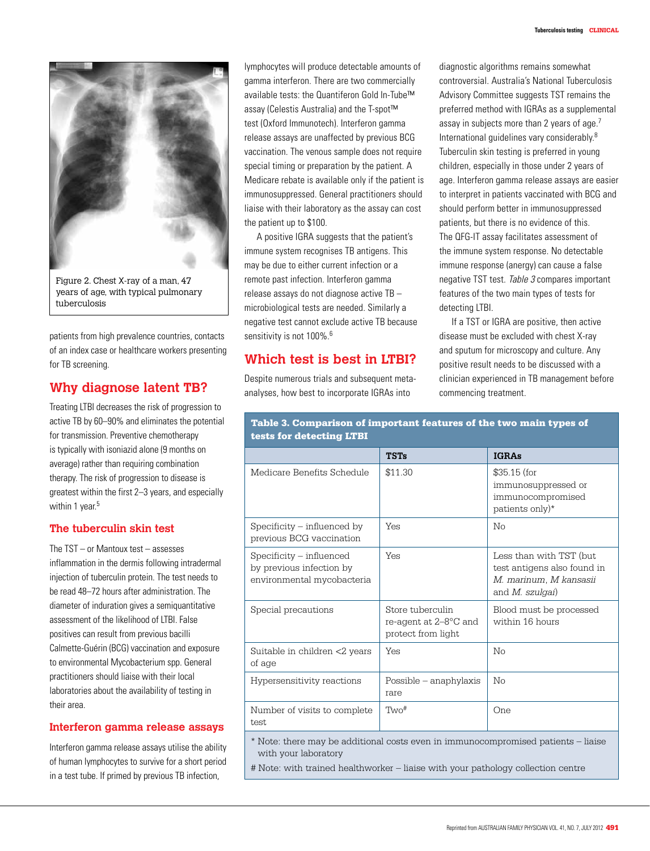

years of age, with typical pulmonary tuberculosis

patients from high prevalence countries, contacts of an index case or healthcare workers presenting for TB screening.

# **Why diagnose latent TB?**

Treating LTBI decreases the risk of progression to active TB by 60–90% and eliminates the potential for transmission. Preventive chemotherapy is typically with isoniazid alone (9 months on average) rather than requiring combination therapy. The risk of progression to disease is greatest within the first 2–3 years, and especially within 1 year.<sup>5</sup>

## **The tuberculin skin test**

The TST – or Mantoux test – assesses inflammation in the dermis following intradermal injection of tuberculin protein. The test needs to be read 48–72 hours after administration. The diameter of induration gives a semiquantitative assessment of the likelihood of LTBI. False positives can result from previous bacilli Calmette-Guérin (BCG) vaccination and exposure to environmental Mycobacterium spp. General practitioners should liaise with their local laboratories about the availability of testing in their area.

## **Interferon gamma release assays**

Interferon gamma release assays utilise the ability of human lymphocytes to survive for a short period in a test tube. If primed by previous TB infection,

lymphocytes will produce detectable amounts of gamma interferon. There are two commercially available tests: the Quantiferon Gold In-Tube™ assay (Celestis Australia) and the T-spot™ test (Oxford Immunotech). Interferon gamma release assays are unaffected by previous BCG vaccination. The venous sample does not require special timing or preparation by the patient. A Medicare rebate is available only if the patient is immunosuppressed. General practitioners should liaise with their laboratory as the assay can cost the patient up to \$100.

A positive IGRA suggests that the patient's immune system recognises TB antigens. This may be due to either current infection or a remote past infection. Interferon gamma release assays do not diagnose active TB – microbiological tests are needed. Similarly a negative test cannot exclude active TB because sensitivity is not 100%.<sup>6</sup>

# **Which test is best in LTBI?**

Despite numerous trials and subsequent metaanalyses, how best to incorporate IGRAs into

diagnostic algorithms remains somewhat controversial. Australia's National Tuberculosis Advisory Committee suggests TST remains the preferred method with IGRAs as a supplemental assay in subjects more than 2 years of age.<sup>7</sup> International guidelines vary considerably.8 Tuberculin skin testing is preferred in young children, especially in those under 2 years of age. Interferon gamma release assays are easier to interpret in patients vaccinated with BCG and should perform better in immunosuppressed patients, but there is no evidence of this. The QFG-IT assay facilitates assessment of the immune system response. No detectable immune response (anergy) can cause a false negative TST test. Table 3 compares important features of the two main types of tests for detecting LTBI.

If a TST or IGRA are positive, then active disease must be excluded with chest X-ray and sputum for microscopy and culture. Any positive result needs to be discussed with a clinician experienced in TB management before commencing treatment.

| <u>respective and the control</u>                                                                         |                                                                 |                                                                                                     |
|-----------------------------------------------------------------------------------------------------------|-----------------------------------------------------------------|-----------------------------------------------------------------------------------------------------|
|                                                                                                           | <b>TSTs</b>                                                     | <b>IGRAs</b>                                                                                        |
| Medicare Benefits Schedule                                                                                | \$11.30                                                         | \$35.15 (for<br>immunosuppressed or<br>immunocompromised<br>patients only)*                         |
| $S$ pecificity $-$ influenced by<br>previous BCG vaccination                                              | Yes                                                             | $N_{\Omega}$                                                                                        |
| Specificity – influenced<br>by previous infection by<br>environmental mycobacteria                        | Yes                                                             | Less than with TST (but<br>test antigens also found in<br>M. marinum, M kansasii<br>and M. szulgai) |
| Special precautions                                                                                       | Store tuberculin<br>re-agent at 2–8°C and<br>protect from light | Blood must be processed<br>within 16 hours                                                          |
| Suitable in children <2 years<br>of age                                                                   | Yes                                                             | No                                                                                                  |
| Hypersensitivity reactions                                                                                | Possible – anaphylaxis<br>rare                                  | $\overline{\text{No}}$                                                                              |
| Number of visits to complete<br>test                                                                      | Two <sup>#</sup>                                                | One                                                                                                 |
| * Note: there may be additional costs even in immunocompromised patients – liaise<br>with your laboratory |                                                                 |                                                                                                     |

Table 3. Comparison of important features of the two main types of tests for detecting LTBI

# Note: with trained healthworker – liaise with your pathology collection centre